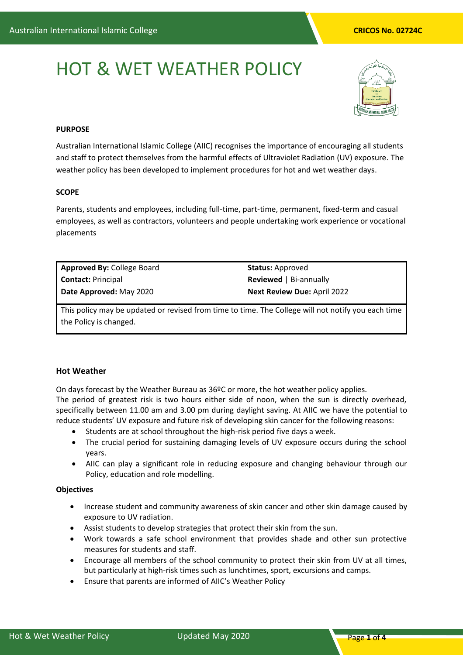# HOT & WET WEATHER POLICY



# **PURPOSE**

Australian International Islamic College (AIIC) recognises the importance of encouraging all students and staff to protect themselves from the harmful effects of Ultraviolet Radiation (UV) exposure. The weather policy has been developed to implement procedures for hot and wet weather days.

# **SCOPE**

Parents, students and employees, including full-time, part-time, permanent, fixed-term and casual employees, as well as contractors, volunteers and people undertaking work experience or vocational placements

| <b>Approved By: College Board</b> | <b>Status: Approved</b>            |
|-----------------------------------|------------------------------------|
| <b>Contact: Principal</b>         | <b>Reviewed</b>   Bi-annually      |
| Date Approved: May 2020           | <b>Next Review Due: April 2022</b> |

This policy may be updated or revised from time to time. The College will not notify you each time the Policy is changed.

# **Hot Weather**

On days forecast by the Weather Bureau as 36ºC or more, the hot weather policy applies. The period of greatest risk is two hours either side of noon, when the sun is directly overhead, specifically between 11.00 am and 3.00 pm during daylight saving. At AIIC we have the potential to reduce students' UV exposure and future risk of developing skin cancer for the following reasons:

- Students are at school throughout the high-risk period five days a week.
- The crucial period for sustaining damaging levels of UV exposure occurs during the school years.
- AIIC can play a significant role in reducing exposure and changing behaviour through our Policy, education and role modelling.

# **Objectives**

- Increase student and community awareness of skin cancer and other skin damage caused by exposure to UV radiation.
- Assist students to develop strategies that protect their skin from the sun.
- Work towards a safe school environment that provides shade and other sun protective measures for students and staff.
- Encourage all members of the school community to protect their skin from UV at all times, but particularly at high-risk times such as lunchtimes, sport, excursions and camps.
- Ensure that parents are informed of AIIC's Weather Policy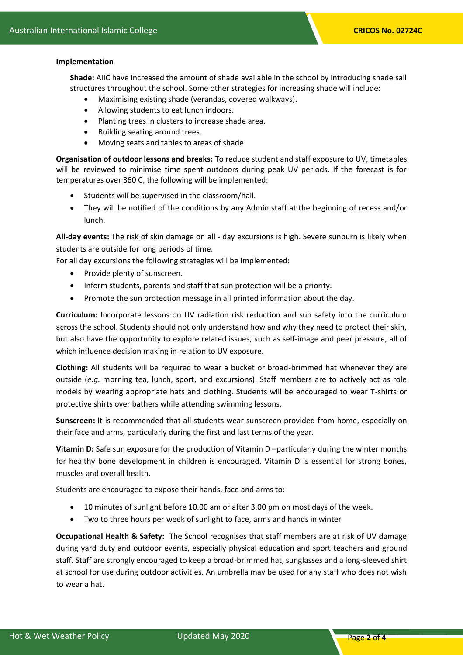### **Implementation**

**Shade:** AIIC have increased the amount of shade available in the school by introducing shade sail structures throughout the school. Some other strategies for increasing shade will include:

- Maximising existing shade (verandas, covered walkways).
- Allowing students to eat lunch indoors.
- Planting trees in clusters to increase shade area.
- Building seating around trees.
- Moving seats and tables to areas of shade

**Organisation of outdoor lessons and breaks:** To reduce student and staff exposure to UV, timetables will be reviewed to minimise time spent outdoors during peak UV periods. If the forecast is for temperatures over 360 C, the following will be implemented:

- Students will be supervised in the classroom/hall.
- They will be notified of the conditions by any Admin staff at the beginning of recess and/or lunch.

**All-day events:** The risk of skin damage on all - day excursions is high. Severe sunburn is likely when students are outside for long periods of time.

For all day excursions the following strategies will be implemented:

- Provide plenty of sunscreen.
- Inform students, parents and staff that sun protection will be a priority.
- Promote the sun protection message in all printed information about the day.

**Curriculum:** Incorporate lessons on UV radiation risk reduction and sun safety into the curriculum across the school. Students should not only understand how and why they need to protect their skin, but also have the opportunity to explore related issues, such as self-image and peer pressure, all of which influence decision making in relation to UV exposure.

**Clothing:** All students will be required to wear a bucket or broad-brimmed hat whenever they are outside (*e.g.* morning tea, lunch, sport, and excursions). Staff members are to actively act as role models by wearing appropriate hats and clothing. Students will be encouraged to wear T-shirts or protective shirts over bathers while attending swimming lessons.

**Sunscreen:** It is recommended that all students wear sunscreen provided from home, especially on their face and arms, particularly during the first and last terms of the year.

**Vitamin D:** Safe sun exposure for the production of Vitamin D –particularly during the winter months for healthy bone development in children is encouraged. Vitamin D is essential for strong bones, muscles and overall health.

Students are encouraged to expose their hands, face and arms to:

- 10 minutes of sunlight before 10.00 am or after 3.00 pm on most days of the week.
- Two to three hours per week of sunlight to face, arms and hands in winter

**Occupational Health & Safety:** The School recognises that staff members are at risk of UV damage during yard duty and outdoor events, especially physical education and sport teachers and ground staff. Staff are strongly encouraged to keep a broad-brimmed hat, sunglasses and a long-sleeved shirt at school for use during outdoor activities. An umbrella may be used for any staff who does not wish to wear a hat.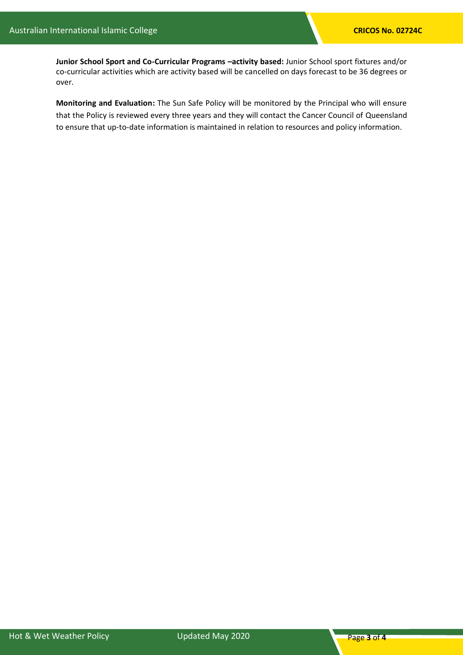**Junior School Sport and Co-Curricular Programs –activity based:** Junior School sport fixtures and/or co-curricular activities which are activity based will be cancelled on days forecast to be 36 degrees or over.

**Monitoring and Evaluation:** The Sun Safe Policy will be monitored by the Principal who will ensure that the Policy is reviewed every three years and they will contact the Cancer Council of Queensland to ensure that up-to-date information is maintained in relation to resources and policy information.